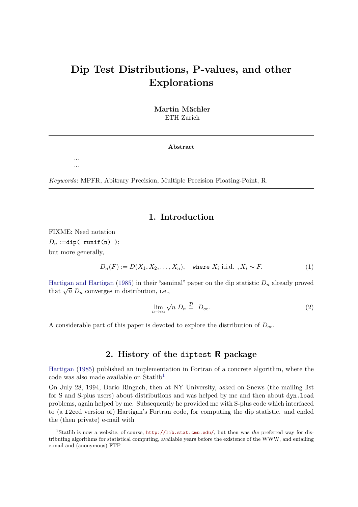# Dip Test Distributions, P-values, and other Explorations

Martin Mächler ETH Zurich

Abstract

Keywords: MPFR, Abitrary Precision, Multiple Precision Floating-Point, R.

## 1. Introduction

FIXME: Need notation  $D_n :=$ dip( runif(n)); but more generally,

... ...

$$
D_n(F) := D(X_1, X_2, \dots, X_n), \quad \text{where } X_i \text{ i.i.d. }, X_i \sim F. \tag{1}
$$

[Hartigan and Hartigan](#page-6-0) [\(1985\)](#page-6-0) in their "seminal" paper on the dip statistic  $D_n$  already proved that ugain and that ugain (1965) in their sent<br>that  $\sqrt{n} D_n$  converges in distribution, i.e.,

<span id="page-0-1"></span>
$$
\lim_{n \to \infty} \sqrt{n} \ D_n \stackrel{\mathcal{D}}{=} D_{\infty}.
$$
 (2)

A considerable part of this paper is devoted to explore the distribution of  $D_{\infty}$ .

## 2. History of the diptest R package

[Hartigan](#page-6-1) [\(1985\)](#page-6-1) published an implementation in Fortran of a concrete algorithm, where the  $\alpha$  code was also made available on Statlib<sup>[1](#page-0-0)</sup>

On July 28, 1994, Dario Ringach, then at NY University, asked on Snews (the mailing list for S and S-plus users) about distributions and was helped by me and then about dyn.load problems, again helped by me. Subsequently he provided me with S-plus code which interfaced to (a f2ced version of) Hartigan's Fortran code, for computing the dip statistic. and ended the (then private) e-mail with

<span id="page-0-0"></span><sup>&</sup>lt;sup>1</sup>Statlib is now a website, of course,  $\text{http://lib.stat.cmu.edu/}$  $\text{http://lib.stat.cmu.edu/}$  $\text{http://lib.stat.cmu.edu/}$ , but then was the preferred way for distributing algorithms for statistical computing, available years before the existence of the WWW, and entailing e-mail and (anonymous) FTP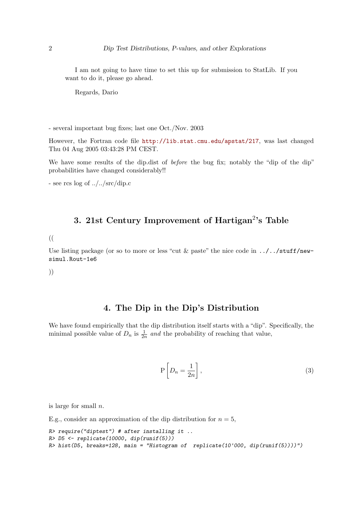I am not going to have time to set this up for submission to StatLib. If you want to do it, please go ahead.

Regards, Dario

- several important bug fixes; last one Oct./Nov. 2003

However, the Fortran code file <http://lib.stat.cmu.edu/apstat/217>, was last changed Thu 04 Aug 2005 03:43:28 PM CEST.

We have some results of the dip.dist of *before* the bug fix; notably the "dip of the dip" probabilities have changed considerably!!

- see rcs log of ../../src/dip.c

## 3. 21st Century Improvement of Hartigan<sup>2</sup>'s Table

((

Use listing package (or so to more or less "cut  $\&$  paste" the nice code in  $\ldots$ / $\ldots$ /stuff/newsimul.Rout-1e6

))

## 4. The Dip in the Dip's Distribution

We have found empirically that the dip distribution itself starts with a "dip". Specifically, the minimal possible value of  $D_n$  is  $\frac{1}{2n}$  and the probability of reaching that value,

$$
P\left[D_n = \frac{1}{2n}\right],\tag{3}
$$

is large for small n.

E.g., consider an approximation of the dip distribution for  $n = 5$ ,

```
R> require("diptest") # after installing it ..
R> D5 <- replicate(10000, dip(runif(5)))
R> hist(D5, breaks=128, main = "Histogram of replicate(10'000, dip(runif(5))))")
```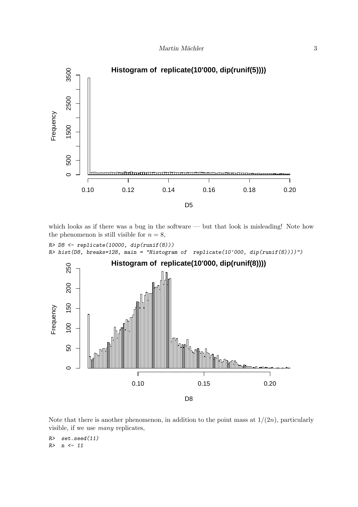

which looks as if there was a bug in the software — but that look is misleading! Note how the phenomenon is still visible for  $n = 8$ ,

```
R> D8 <- replicate(10000, dip(runif(8)))
R> hist(D8, breaks=128, main = "Histogram of replicate(10'000, dip(runif(8))))")
```


Note that there is another phenomenon, in addition to the point mass at  $1/(2n)$ , particularly visible, if we use many replicates,

R> set.seed(11)  $R > n < -11$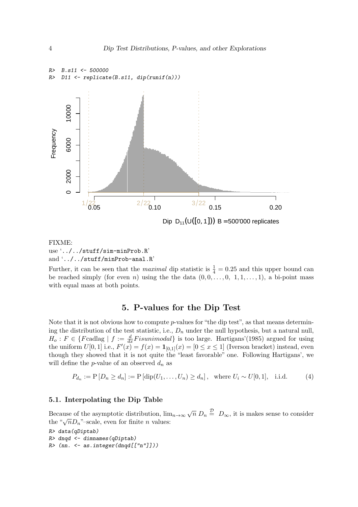

## FIXME: use '../../stuff/sim-minProb.R' and '../../stuff/minProb-anal.R'

Further, it can be seen that the *maximal* dip statistic is  $\frac{1}{4} = 0.25$  and this upper bound can be reached simply (for even *n*) using the the data  $(0, 0, \ldots, 0, 1, 1, \ldots, 1)$ , a bi-point mass with equal mass at both points.

## 5. P-values for the Dip Test

Note that it is not obvious how to compute  $p$ -values for "the dip test", as that means determining the distribution of the test statistic, i.e.,  $D_n$  under the null hypothesis, but a natural null,  $H_o: F \in \{F \text{cadlag} \mid f := \frac{d}{dx}F is unimodal\}$  is too large. Hartigans'(1985) argued for using the uniform  $U[0,1]$  i.e.,  $F'(x) = f(x) = \mathbf{1}_{[0,1]}(x) = [0 \le x \le 1]$  (Iverson bracket) instead, even though they showed that it is not quite the "least favorable" one. Following Hartigans', we will define the  $p$ -value of an observed  $d_n$  as

$$
P_{d_n} := \mathcal{P}[D_n \ge d_n] := \mathcal{P}[\text{dip}(U_1, \dots, U_n) \ge d_n], \text{ where } U_i \sim U[0, 1], \text{ i.i.d.}
$$
 (4)

#### 5.1. Interpolating the Dip Table

Because of the asymptotic distribution,  $\lim_{n\to\infty}\sqrt{n} D_n \stackrel{\mathcal{D}}{=} D_{\infty}$ , it is makes sense to consider because of the asymptotic distribution, in<br>the " $\sqrt{n}D_n$ "-scale, even for finite *n* values:

```
R> data(qDiptab)
R> dnqd \leq dimnames (qDiptab)
R /m. \leq as. integer (dnqd[["n"]]))
```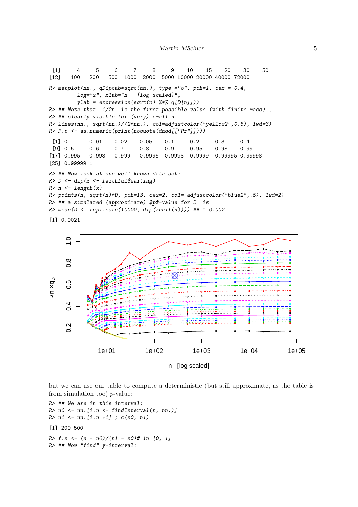```
[1] 4 5 6 7 8 9 10 15 20 30 50
[12] 100 200 500 1000 2000 5000 10000 20000 40000 72000
R matplot(nn., qDiptab*sqrt(nn.), type ="o", pch=1, cex = 0.4,
        log="x", xlab="n [log scaled]",
        ylab = expression(sqrt(n) % * % q[D[n]]))R \rightarrow ## Note that 1/2n is the first possible value (with finite mass),,
R> ## clearly visible for (very) small n:
R> lines(nn., sqrt(nn.)/(2*nn.), col=adjustcolor("yellow2",0.5), lwd=3)
R > P.p \leftarrow as.numeric(print(noquote(dnqd[["Pr"])))[1] 0 0.01 0.02 0.05 0.1 0.2 0.3 0.4
 [9] 0.5 0.6 0.7 0.8 0.9 0.95 0.98 0.99
[17] 0.995 0.998 0.999 0.9995 0.9998 0.9999 0.99995 0.99998
[25] 0.99999 1
R> ## Now look at one well known data set:
R> D \leftarrow dip(x \leftarrow faithful\waiting)
R> n \leftarrow length(x)R> points(n, sqrt(n)*D, pch=13, cex=2, col= adjustcolor("blue2",.5), lwd=2)
R> ## a simulated (approximate) $p$-value for D is
R> mean(D \leq replicate(10000, dip(runif(n)))) ## \degree 0.002
[1] 0.0021
```


but we can use our table to compute a deterministic (but still approximate, as the table is from simulation too) p-value:

```
R> ## We are in this interval:
R> n0 \leq nn. [i.n \leq findInterval(n, nn.)]
R> n1 \leftarrow nn.[i.n +1] ; c(n0, n1)[1] 200 500
R > f.n \leftarrow (n - n0)/(n1 - n0)# in [0, 1]
R> ## Now "find" y-interval:
```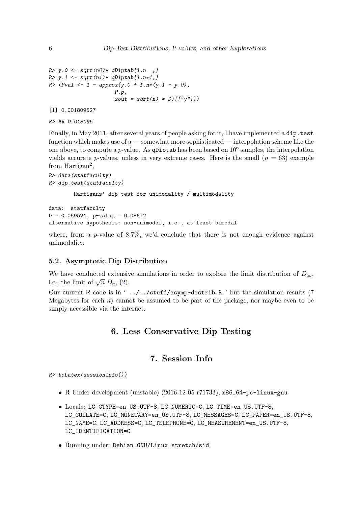```
R> y.0 <- sqrt(n0)* qDiptab[i.n ,]
R > y.1 \leftarrow sqrt(n1) * qDiptab[i.n+1,]R > (Pval <- 1 - approx(y.0 + f.n*(y.1 - y.0),
                      P.p,
                      xout = sqrt(n) * D[['y"]])
```
[1] 0.001809527

```
R> ## 0.018095
```
Finally, in May 2011, after several years of people asking for it, I have implemented a dip.test function which makes use of a — somewhat more sophisticated — interpolation scheme like the one above, to compute a p-value. As qDiptab has been based on  $10^6$  samples, the interpolation yields accurate *p*-values, unless in very extreme cases. Here is the small  $(n = 63)$  example from Hartigan<sup>2</sup>,

```
R> data(statfaculty)
R> dip.test(statfaculty)
```
Hartigans' dip test for unimodality / multimodality

```
data: statfaculty
D = 0.059524, p-value = 0.08672
alternative hypothesis: non-unimodal, i.e., at least bimodal
```
where, from a  $p$ -value of 8.7%, we'd conclude that there is not enough evidence against unimodality.

#### 5.2. Asymptotic Dip Distribution

We have conducted extensive simulations in order to explore the limit distribution of  $D_{\infty}$ , we have conducted extensive.<br>i.e., the limit of  $\sqrt{n} D_n$ , [\(2\)](#page-0-1).

Our current R code is in '  $\ldots$ / $\ldots$ /stuff/asymp-distrib.R ' but the simulation results (7) Megabytes for each  $n$ ) cannot be assumed to be part of the package, nor maybe even to be simply accessible via the internet.

## 6. Less Conservative Dip Testing

## 7. Session Info

R> toLatex(sessionInfo())

- R Under development (unstable) (2016-12-05 r71733), x86\_64-pc-linux-gnu
- Locale: LC\_CTYPE=en\_US.UTF-8, LC\_NUMERIC=C, LC\_TIME=en\_US.UTF-8, LC\_COLLATE=C, LC\_MONETARY=en\_US.UTF-8, LC\_MESSAGES=C, LC\_PAPER=en\_US.UTF-8, LC\_NAME=C, LC\_ADDRESS=C, LC\_TELEPHONE=C, LC\_MEASUREMENT=en\_US.UTF-8, LC\_IDENTIFICATION=C
- Running under: Debian GNU/Linux stretch/sid